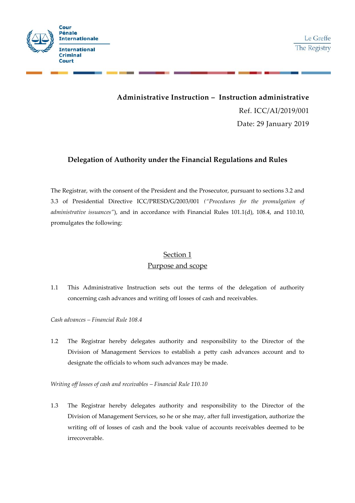

# **Administrative Instruction –Instruction administrative** Ref. ICC/AI/2019/001 Date: 29 January 2019

### **Delegation of Authority under the Financial Regulations and Rules**

The Registrar, with the consent of the President and the Prosecutor, pursuant to sections 3.2 and 3.3 of Presidential Directive ICC/PRESD/G/2003/001 *("Procedures for the promulgation of administrative issuances"*), and in accordance with Financial Rules 101.1(d), 108.4, and 110.10, promulgates the following:

## Section 1 Purpose and scope

1.1 This Administrative Instruction sets out the terms of the delegation of authority concerning cash advances and writing off losses of cash and receivables.

*Cash advances – Financial Rule 108.4*

1.2 The Registrar hereby delegates authority and responsibility to the Director of the Division of Management Services to establish a petty cash advances account and to designate the officials to whom such advances may be made.

*Writing off losses of cash and receivables – Financial Rule 110.10*

1.3 The Registrar hereby delegates authority and responsibility to the Director of the Division of Management Services, so he or she may, after full investigation, authorize the writing off of losses of cash and the book value of accounts receivables deemed to be irrecoverable.